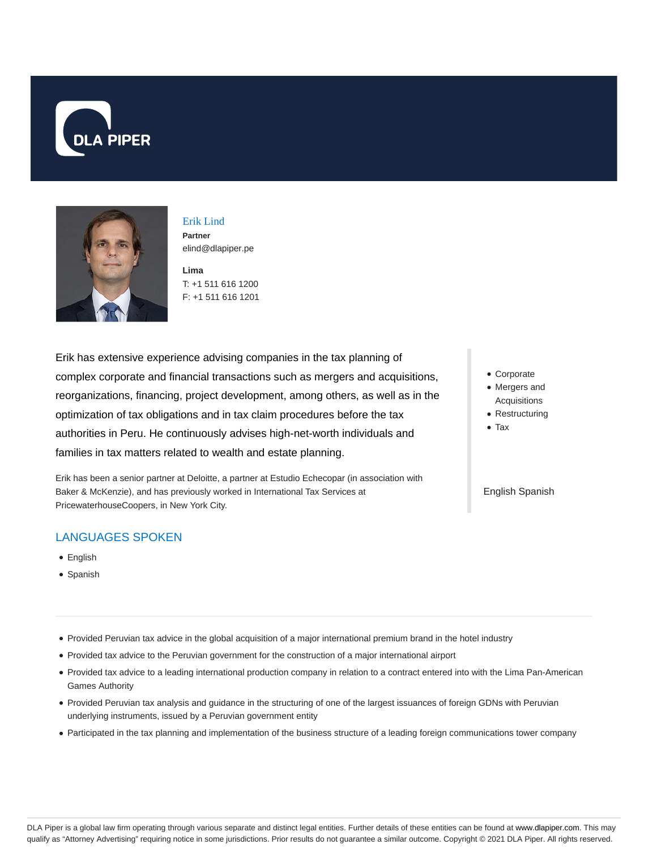



Erik Lind **Partner** elind@dlapiper.pe

**Lima** T: +1 511 616 1200 F: +1 511 616 1201

Erik has extensive experience advising companies in the tax planning of complex corporate and financial transactions such as mergers and acquisitions, reorganizations, financing, project development, among others, as well as in the optimization of tax obligations and in tax claim procedures before the tax authorities in Peru. He continuously advises high-net-worth individuals and families in tax matters related to wealth and estate planning.

Erik has been a senior partner at Deloitte, a partner at Estudio Echecopar (in association with Baker & McKenzie), and has previously worked in International Tax Services at PricewaterhouseCoopers, in New York City.

# LANGUAGES SPOKEN

- English
- Spanish
- Provided Peruvian tax advice in the global acquisition of a major international premium brand in the hotel industry
- Provided tax advice to the Peruvian government for the construction of a major international airport
- Provided tax advice to a leading international production company in relation to a contract entered into with the Lima Pan-American Games Authority
- Provided Peruvian tax analysis and guidance in the structuring of one of the largest issuances of foreign GDNs with Peruvian underlying instruments, issued by a Peruvian government entity
- Participated in the tax planning and implementation of the business structure of a leading foreign communications tower company
- Corporate
- Mergers and Acquisitions
- Restructuring
- Tax

#### English Spanish

DLA Piper is a global law firm operating through various separate and distinct legal entities. Further details of these entities can be found at www.dlapiper.com. This may qualify as "Attorney Advertising" requiring notice in some jurisdictions. Prior results do not guarantee a similar outcome. Copyright © 2021 DLA Piper. All rights reserved.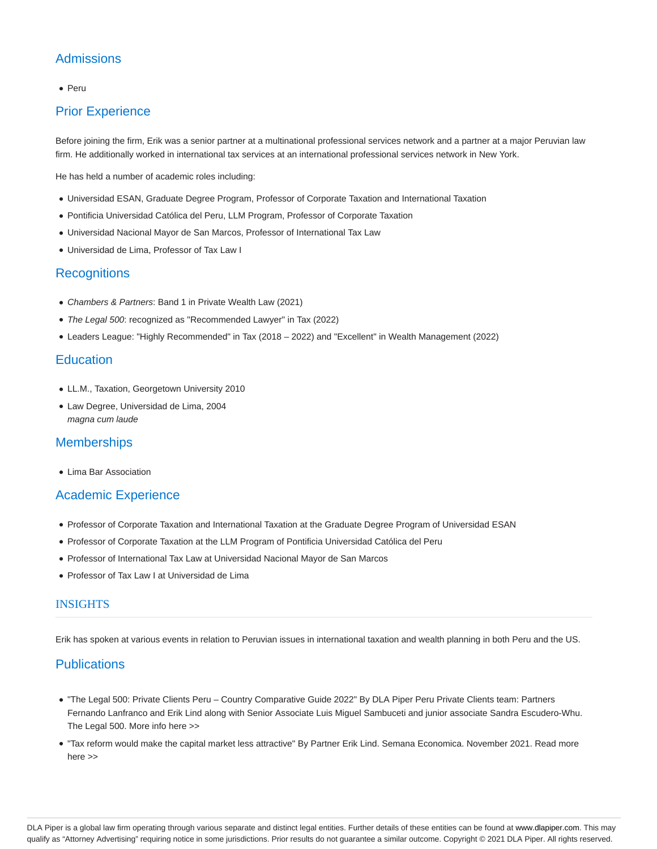# **Admissions**

#### • Peru

## Prior Experience

Before joining the firm, Erik was a senior partner at a multinational professional services network and a partner at a major Peruvian law firm. He additionally worked in international tax services at an international professional services network in New York.

He has held a number of academic roles including:

- Universidad ESAN, Graduate Degree Program, Professor of Corporate Taxation and International Taxation
- Pontificia Universidad Católica del Peru, LLM Program, Professor of Corporate Taxation
- Universidad Nacional Mayor de San Marcos, Professor of International Tax Law
- Universidad de Lima, Professor of Tax Law I

### **Recognitions**

- Chambers & Partners: Band 1 in Private Wealth Law (2021)
- The Legal 500: recognized as "Recommended Lawyer" in Tax (2022)
- Leaders League: "Highly Recommended" in Tax (2018 2022) and "Excellent" in Wealth Management (2022)

### **Education**

- LL.M., Taxation, Georgetown University 2010
- Law Degree, Universidad de Lima, 2004 magna cum laude

#### **Memberships**

Lima Bar Association

#### Academic Experience

- Professor of Corporate Taxation and International Taxation at the Graduate Degree Program of Universidad ESAN
- Professor of Corporate Taxation at the LLM Program of Pontificia Universidad Católica del Peru
- Professor of International Tax Law at Universidad Nacional Mayor de San Marcos
- Professor of Tax Law I at Universidad de Lima

### **INSIGHTS**

Erik has spoken at various events in relation to Peruvian issues in international taxation and wealth planning in both Peru and the US.

### **Publications**

- "The Legal 500: Private Clients Peru Country Comparative Guide 2022" By DLA Piper Peru Private Clients team: Partners Fernando Lanfranco and Erik Lind along with Senior Associate Luis Miguel Sambuceti and junior associate Sandra Escudero-Whu. The Legal 500. More info here >>
- "Tax reform would make the capital market less attractive" By Partner Erik Lind. Semana Economica. November 2021. Read more here >>